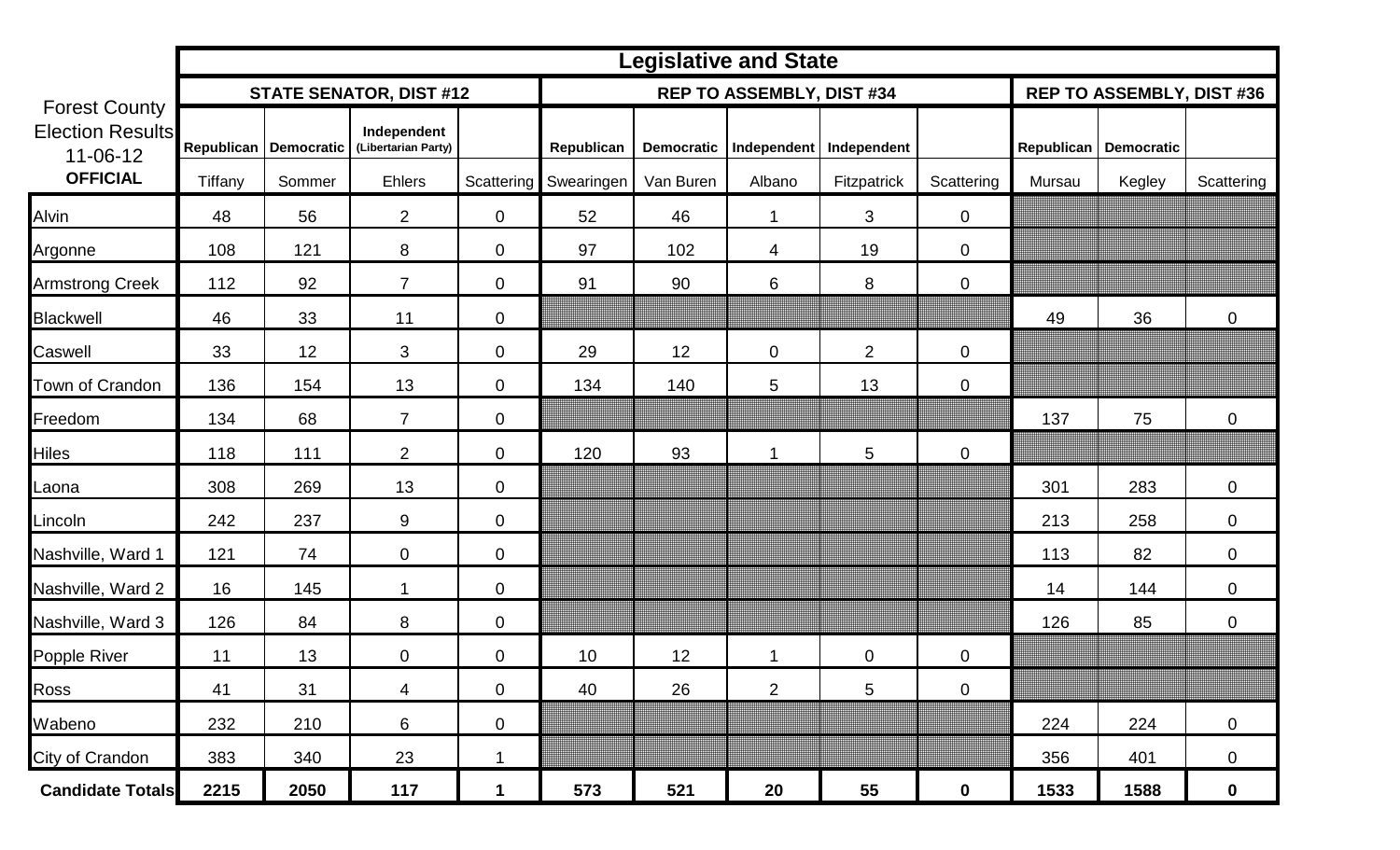|                                                                                | <b>Legislative and State</b>   |                   |                                    |                |                           |                   |                 |                |                |                                  |        |                |
|--------------------------------------------------------------------------------|--------------------------------|-------------------|------------------------------------|----------------|---------------------------|-------------------|-----------------|----------------|----------------|----------------------------------|--------|----------------|
| <b>Forest County</b><br><b>Election Results</b><br>11-06-12<br><b>OFFICIAL</b> | <b>STATE SENATOR, DIST #12</b> |                   |                                    |                | REP TO ASSEMBLY, DIST #34 |                   |                 |                |                | <b>REP TO ASSEMBLY, DIST #36</b> |        |                |
|                                                                                | Republican                     | <b>Democratic</b> | Independent<br>(Libertarian Party) |                | Republican                | <b>Democratic</b> | Independent     | Independent    |                | Republican   Democratic          |        |                |
|                                                                                | Tiffany                        | Sommer            | <b>Ehlers</b>                      | Scattering     | Swearingen                | Van Buren         | Albano          | Fitzpatrick    | Scattering     | Mursau                           | Kegley | Scattering     |
| Alvin                                                                          | 48                             | 56                | $\overline{2}$                     | $\mathbf 0$    | 52                        | 46                | $\mathbf{1}$    | 3              | $\mathbf 0$    |                                  |        |                |
| Argonne                                                                        | 108                            | 121               | 8                                  | $\overline{0}$ | 97                        | 102               | 4               | 19             | $\mathbf 0$    |                                  |        |                |
| <b>Armstrong Creek</b>                                                         | 112                            | 92                | $\overline{7}$                     | $\overline{0}$ | 91                        | 90                | 6               | 8              | $\mathbf 0$    |                                  |        |                |
| <b>Blackwell</b>                                                               | 46                             | 33                | 11                                 | $\mathbf 0$    |                           |                   |                 |                |                | 49                               | 36     | $\overline{0}$ |
| Caswell                                                                        | 33                             | 12                | 3                                  | $\overline{0}$ | 29                        | 12                | $\mathbf 0$     | $\overline{2}$ | $\overline{0}$ |                                  |        |                |
| Town of Crandon                                                                | 136                            | 154               | 13                                 | $\overline{0}$ | 134                       | 140               | $5\phantom{.0}$ | 13             | $\mathbf 0$    |                                  |        |                |
| Freedom                                                                        | 134                            | 68                | $\overline{7}$                     | $\overline{0}$ |                           |                   |                 |                |                | 137                              | 75     | $\overline{0}$ |
| <b>Hiles</b>                                                                   | 118                            | 111               | $\overline{2}$                     | $\mathbf 0$    | 120                       | 93                | $\mathbf 1$     | 5              | $\mathbf 0$    |                                  |        |                |
| Laona                                                                          | 308                            | 269               | 13                                 | $\overline{0}$ |                           |                   |                 |                |                | 301                              | 283    | $\overline{0}$ |
| Lincoln                                                                        | 242                            | 237               | 9                                  | 0              |                           |                   |                 |                |                | 213                              | 258    | $\mathbf 0$    |
| Nashville, Ward 1                                                              | 121                            | 74                | $\overline{0}$                     | 0              |                           |                   |                 |                |                | 113                              | 82     | $\mathbf 0$    |
| Nashville, Ward 2                                                              | 16                             | 145               | $\mathbf{1}$                       | $\mathbf 0$    |                           |                   |                 |                |                | 14                               | 144    | $\overline{0}$ |
| Nashville, Ward 3                                                              | 126                            | 84                | 8                                  | $\mathbf 0$    |                           |                   |                 |                |                | 126                              | 85     | $\overline{0}$ |
| Popple River                                                                   | 11                             | 13                | $\overline{0}$                     | 0              | 10                        | 12                | 1               | $\mathbf 0$    | $\mathbf 0$    |                                  |        |                |
| Ross                                                                           | 41                             | 31                | 4                                  | $\overline{0}$ | 40                        | 26                | $\overline{2}$  | 5              | $\mathbf 0$    |                                  |        |                |
| Wabeno                                                                         | 232                            | 210               | 6                                  | 0              |                           |                   |                 |                |                | 224                              | 224    | $\mathbf 0$    |
| City of Crandon                                                                | 383                            | 340               | 23                                 | 1              |                           |                   |                 |                |                | 356                              | 401    | 0              |
| <b>Candidate Totals</b>                                                        | 2215                           | 2050              | 117                                | 1              | 573                       | 521               | 20              | 55             | $\mathbf 0$    | 1533                             | 1588   | 0              |